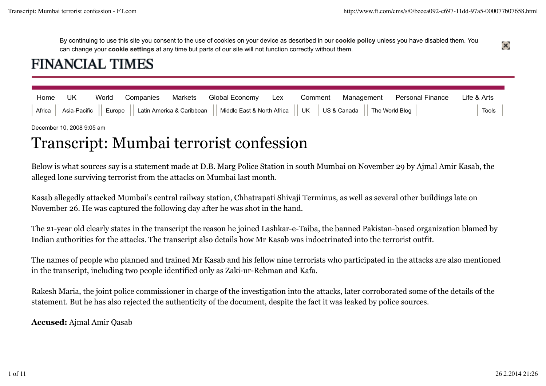$\mathbf{x}$ 

By continuing to use this site you consent to the use of cookies on your device as described in our **cookie policy** unless you have disabled them. You can change your **cookie settings** at any time but parts of our site will not function correctly without them.

## **FINANCIAL TIMES**

| Home UK |  |  |                                                                                                                                                       |  | World Companies Markets Global Economy Lex Comment Management Personal Finance Life & Arts |               |
|---------|--|--|-------------------------------------------------------------------------------------------------------------------------------------------------------|--|--------------------------------------------------------------------------------------------|---------------|
|         |  |  | Africa $  $ Asia-Pacific $  $ Europe $  $ Latin America & Caribbean $  $ Middle East & North Africa $  $ UK $  $ US & Canada $  $ The World Blog $  $ |  |                                                                                            | $ $ Tools $ $ |

December 10, 2008 9:05 am

# Transcript: Mumbai terrorist confession

Below is what sources say is a statement made at D.B. Marg Police Station in south Mumbai on November 29 by Ajmal Amir Kasab, the alleged lone surviving terrorist from the attacks on Mumbai last month.

Kasab allegedly attacked Mumbai's central railway station, Chhatrapati Shivaji Terminus, as well as several other buildings late on November 26. He was captured the following day after he was shot in the hand.

The 21-year old clearly states in the transcript the reason he joined Lashkar-e-Taiba, the banned Pakistan-based organization blamed by Indian authorities for the attacks. The transcript also details how Mr Kasab was indoctrinated into the terrorist outfit.

The names of people who planned and trained Mr Kasab and his fellow nine terrorists who participated in the attacks are also mentioned in the transcript, including two people identified only as Zaki-ur-Rehman and Kafa.

Rakesh Maria, the joint police commissioner in charge of the investigation into the attacks, later corroborated some of the details of the statement. But he has also rejected the authenticity of the document, despite the fact it was leaked by police sources.

**Accused:** Ajmal Amir Qasab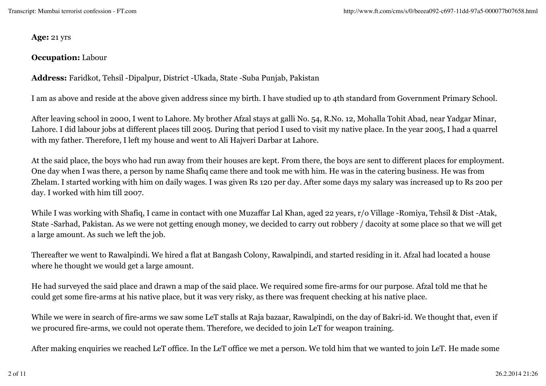**Age:** 21 yrs

#### **Occupation:** Labour

**Address:** Faridkot, Tehsil -Dipalpur, District -Ukada, State -Suba Punjab, Pakistan

I am as above and reside at the above given address since my birth. I have studied up to 4th standard from Government Primary School.

After leaving school in 2000, I went to Lahore. My brother Afzal stays at galli No. 54, R.No. 12, Mohalla Tohit Abad, near Yadgar Minar, Lahore. I did labour jobs at different places till 2005. During that period I used to visit my native place. In the year 2005, I had a quarrel with my father. Therefore, I left my house and went to Ali Hajveri Darbar at Lahore.

At the said place, the boys who had run away from their houses are kept. From there, the boys are sent to different places for employment. One day when I was there, a person by name Shafiq came there and took me with him. He was in the catering business. He was from Zhelam. I started working with him on daily wages. I was given Rs 120 per day. After some days my salary was increased up to Rs 200 per day. I worked with him till 2007.

While I was working with Shafiq, I came in contact with one Muzaffar Lal Khan, aged 22 years, r/o Village -Romiya, Tehsil & Dist -Atak, State -Sarhad, Pakistan. As we were not getting enough money, we decided to carry out robbery / dacoity at some place so that we will get a large amount. As such we left the job.

Thereafter we went to Rawalpindi. We hired a flat at Bangash Colony, Rawalpindi, and started residing in it. Afzal had located a house where he thought we would get a large amount.

He had surveyed the said place and drawn a map of the said place. We required some fire-arms for our purpose. Afzal told me that he could get some fire-arms at his native place, but it was very risky, as there was frequent checking at his native place.

While we were in search of fire-arms we saw some LeT stalls at Raja bazaar, Rawalpindi, on the day of Bakri-id. We thought that, even if we procured fire-arms, we could not operate them. Therefore, we decided to join LeT for weapon training.

After making enquiries we reached LeT office. In the LeT office we met a person. We told him that we wanted to join LeT. He made some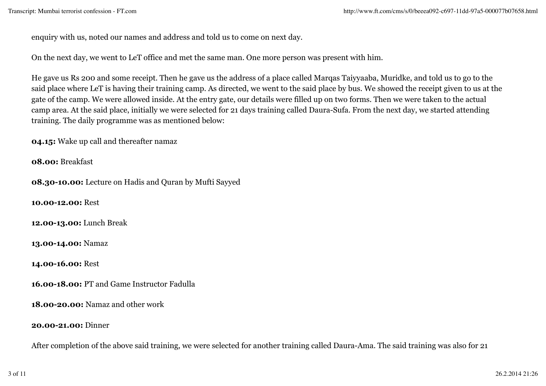enquiry with us, noted our names and address and told us to come on next day.

On the next day, we went to LeT office and met the same man. One more person was present with him.

He gave us Rs 200 and some receipt. Then he gave us the address of a place called Marqas Taiyyaaba, Muridke, and told us to go to the said place where LeT is having their training camp. As directed, we went to the said place by bus. We showed the receipt given to us at the gate of the camp. We were allowed inside. At the entry gate, our details were filled up on two forms. Then we were taken to the actual camp area. At the said place, initially we were selected for 21 days training called Daura-Sufa. From the next day, we started attending training. The daily programme was as mentioned below:

**04.15:** Wake up call and thereafter namaz

**08.00:** Breakfast

**08.30-10.00:** Lecture on Hadis and Quran by Mufti Sayyed

**10.00-12.00:** Rest

**12.00-13.00:** Lunch Break

**13.00-14.00:** Namaz

**14.00-16.00:** Rest

**16.00-18.00:** PT and Game Instructor Fadulla

**18.00-20.00:** Namaz and other work

**20.00-21.00:** Dinner

After completion of the above said training, we were selected for another training called Daura-Ama. The said training was also for 21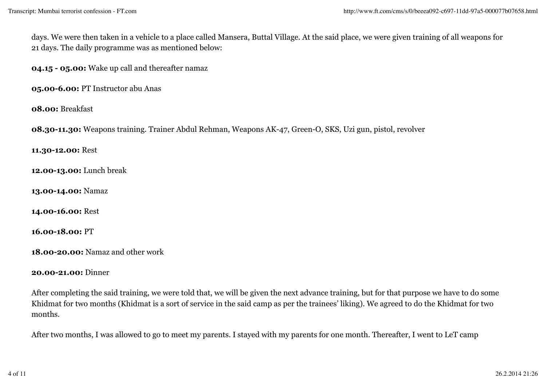days. We were then taken in a vehicle to a place called Mansera, Buttal Village. At the said place, we were given training of all weapons for 21 days. The daily programme was as mentioned below:

**04.15 - 05.00:** Wake up call and thereafter namaz

**05.00-6.00:** PT Instructor abu Anas

**08.00:** Breakfast

**08.30-11.30:** Weapons training. Trainer Abdul Rehman, Weapons AK-47, Green-O, SKS, Uzi gun, pistol, revolver

**11.30-12.00:** Rest

**12.00-13.00:** Lunch break

**13.00-14.00:** Namaz

**14.00-16.00:** Rest

**16.00-18.00:** PT

**18.00-20.00:** Namaz and other work

#### **20.00-21.00:** Dinner

After completing the said training, we were told that, we will be given the next advance training, but for that purpose we have to do some Khidmat for two months (Khidmat is a sort of service in the said camp as per the trainees' liking). We agreed to do the Khidmat for two months.

After two months, I was allowed to go to meet my parents. I stayed with my parents for one month. Thereafter, I went to LeT camp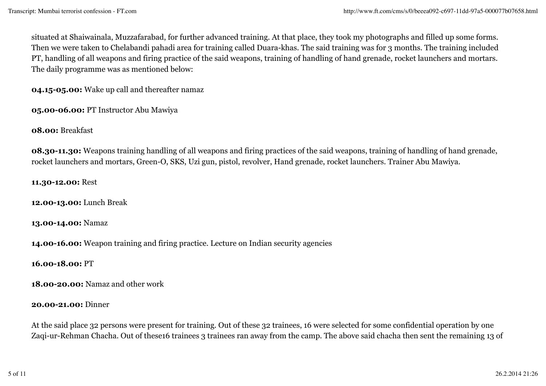situated at Shaiwainala, Muzzafarabad, for further advanced training. At that place, they took my photographs and filled up some forms. Then we were taken to Chelabandi pahadi area for training called Duara-khas. The said training was for 3 months. The training included PT, handling of all weapons and firing practice of the said weapons, training of handling of hand grenade, rocket launchers and mortars. The daily programme was as mentioned below:

**04.15-05.00:** Wake up call and thereafter namaz

**05.00-06.00:** PT Instructor Abu Mawiya

**08.00:** Breakfast

**08.30-11.30:** Weapons training handling of all weapons and firing practices of the said weapons, training of handling of hand grenade, rocket launchers and mortars, Green-O, SKS, Uzi gun, pistol, revolver, Hand grenade, rocket launchers. Trainer Abu Mawiya.

**11.30-12.00:** Rest

**12.00-13.00:** Lunch Break

**13.00-14.00:** Namaz

**14.00-16.00:** Weapon training and firing practice. Lecture on Indian security agencies

**16.00-18.00:** PT

**18.00-20.00:** Namaz and other work

#### **20.00-21.00:** Dinner

At the said place 32 persons were present for training. Out of these 32 trainees, 16 were selected for some confidential operation by one Zaqi-ur-Rehman Chacha. Out of these16 trainees 3 trainees ran away from the camp. The above said chacha then sent the remaining 13 of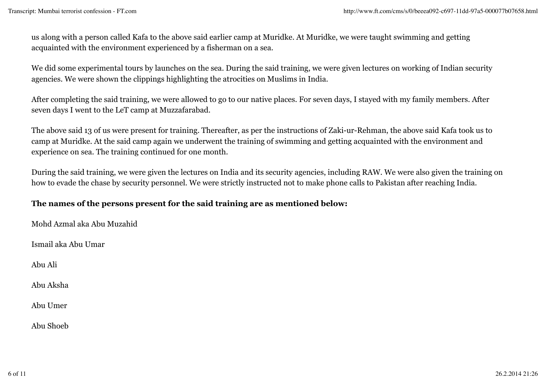us along with a person called Kafa to the above said earlier camp at Muridke. At Muridke, we were taught swimming and getting acquainted with the environment experienced by a fisherman on a sea.

We did some experimental tours by launches on the sea. During the said training, we were given lectures on working of Indian security agencies. We were shown the clippings highlighting the atrocities on Muslims in India.

After completing the said training, we were allowed to go to our native places. For seven days, I stayed with my family members. After seven days I went to the LeT camp at Muzzafarabad.

The above said 13 of us were present for training. Thereafter, as per the instructions of Zaki-ur-Rehman, the above said Kafa took us to camp at Muridke. At the said camp again we underwent the training of swimming and getting acquainted with the environment and experience on sea. The training continued for one month.

During the said training, we were given the lectures on India and its security agencies, including RAW. We were also given the training on how to evade the chase by security personnel. We were strictly instructed not to make phone calls to Pakistan after reaching India.

## **The names of the persons present for the said training are as mentioned below:**

Mohd Azmal aka Abu Muzahid Ismail aka Abu Umar Abu Ali Abu Aksha Abu Umer Abu Shoeb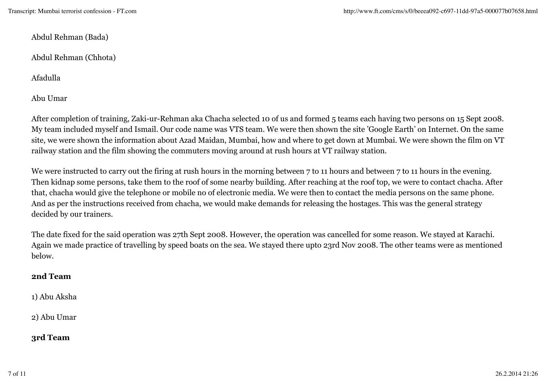Abdul Rehman (Bada)

Abdul Rehman (Chhota)

Afadulla

Abu Umar

After completion of training, Zaki-ur-Rehman aka Chacha selected 10 of us and formed 5 teams each having two persons on 15 Sept 2008. My team included myself and Ismail. Our code name was VTS team. We were then shown the site 'Google Earth' on Internet. On the same site, we were shown the information about Azad Maidan, Mumbai, how and where to get down at Mumbai. We were shown the film on VT railway station and the film showing the commuters moving around at rush hours at VT railway station.

We were instructed to carry out the firing at rush hours in the morning between 7 to 11 hours and between 7 to 11 hours in the evening. Then kidnap some persons, take them to the roof of some nearby building. After reaching at the roof top, we were to contact chacha. After that, chacha would give the telephone or mobile no of electronic media. We were then to contact the media persons on the same phone. And as per the instructions received from chacha, we would make demands for releasing the hostages. This was the general strategy decided by our trainers.

The date fixed for the said operation was 27th Sept 2008. However, the operation was cancelled for some reason. We stayed at Karachi. Again we made practice of travelling by speed boats on the sea. We stayed there upto 23rd Nov 2008. The other teams were as mentioned below.

### **2nd Team**

1) Abu Aksha

2) Abu Umar

**3rd Team**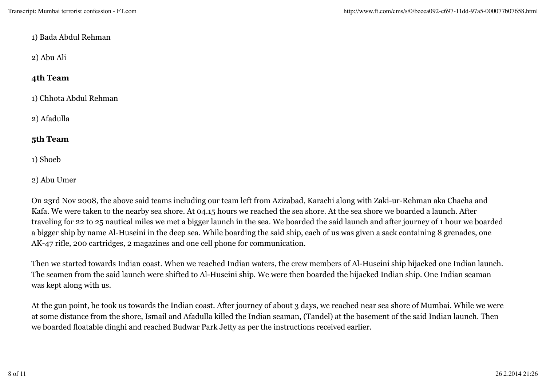### 1) Bada Abdul Rehman

## 2) Abu Ali

## **4th Team**

1) Chhota Abdul Rehman

2) Afadulla

## **5th Team**

1) Shoeb

2) Abu Umer

On 23rd Nov 2008, the above said teams including our team left from Azizabad, Karachi along with Zaki-ur-Rehman aka Chacha and Kafa. We were taken to the nearby sea shore. At 04.15 hours we reached the sea shore. At the sea shore we boarded a launch. After traveling for 22 to 25 nautical miles we met a bigger launch in the sea. We boarded the said launch and after journey of 1 hour we boarded a bigger ship by name Al-Huseini in the deep sea. While boarding the said ship, each of us was given a sack containing 8 grenades, one AK-47 rifle, 200 cartridges, 2 magazines and one cell phone for communication.

Then we started towards Indian coast. When we reached Indian waters, the crew members of Al-Huseini ship hijacked one Indian launch. The seamen from the said launch were shifted to Al-Huseini ship. We were then boarded the hijacked Indian ship. One Indian seaman was kept along with us.

At the gun point, he took us towards the Indian coast. After journey of about 3 days, we reached near sea shore of Mumbai. While we were at some distance from the shore, Ismail and Afadulla killed the Indian seaman, (Tandel) at the basement of the said Indian launch. Then we boarded floatable dinghi and reached Budwar Park Jetty as per the instructions received earlier.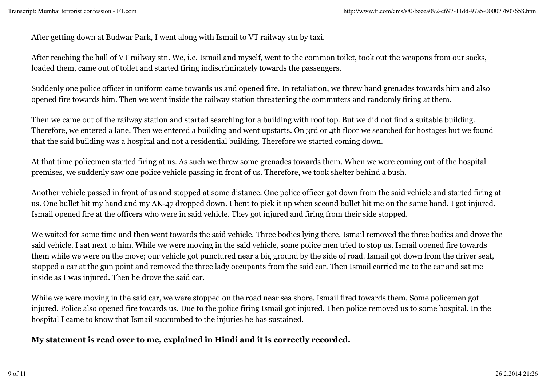After getting down at Budwar Park, I went along with Ismail to VT railway stn by taxi.

After reaching the hall of VT railway stn. We, i.e. Ismail and myself, went to the common toilet, took out the weapons from our sacks, loaded them, came out of toilet and started firing indiscriminately towards the passengers.

Suddenly one police officer in uniform came towards us and opened fire. In retaliation, we threw hand grenades towards him and also opened fire towards him. Then we went inside the railway station threatening the commuters and randomly firing at them.

Then we came out of the railway station and started searching for a building with roof top. But we did not find a suitable building. Therefore, we entered a lane. Then we entered a building and went upstarts. On 3rd or 4th floor we searched for hostages but we found that the said building was a hospital and not a residential building. Therefore we started coming down.

At that time policemen started firing at us. As such we threw some grenades towards them. When we were coming out of the hospital premises, we suddenly saw one police vehicle passing in front of us. Therefore, we took shelter behind a bush.

Another vehicle passed in front of us and stopped at some distance. One police officer got down from the said vehicle and started firing at us. One bullet hit my hand and my AK-47 dropped down. I bent to pick it up when second bullet hit me on the same hand. I got injured. Ismail opened fire at the officers who were in said vehicle. They got injured and firing from their side stopped.

We waited for some time and then went towards the said vehicle. Three bodies lying there. Ismail removed the three bodies and drove the said vehicle. I sat next to him. While we were moving in the said vehicle, some police men tried to stop us. Ismail opened fire towards them while we were on the move; our vehicle got punctured near a big ground by the side of road. Ismail got down from the driver seat, stopped a car at the gun point and removed the three lady occupants from the said car. Then Ismail carried me to the car and sat me inside as I was injured. Then he drove the said car.

While we were moving in the said car, we were stopped on the road near sea shore. Ismail fired towards them. Some policemen got injured. Police also opened fire towards us. Due to the police firing Ismail got injured. Then police removed us to some hospital. In the hospital I came to know that Ismail succumbed to the injuries he has sustained.

## **My statement is read over to me, explained in Hindi and it is correctly recorded.**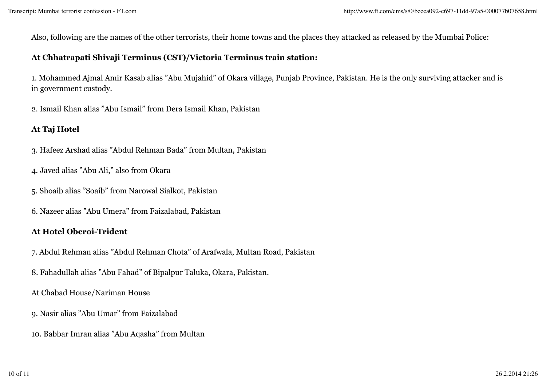Also, following are the names of the other terrorists, their home towns and the places they attacked as released by the Mumbai Police:

## **At Chhatrapati Shivaji Terminus (CST)/Victoria Terminus train station:**

1. Mohammed Ajmal Amir Kasab alias "Abu Mujahid" of Okara village, Punjab Province, Pakistan. He is the only surviving attacker and is in government custody.

2. Ismail Khan alias "Abu Ismail" from Dera Ismail Khan, Pakistan

## **At Taj Hotel**

- 3. Hafeez Arshad alias "Abdul Rehman Bada" from Multan, Pakistan
- 4. Javed alias "Abu Ali," also from Okara
- 5. Shoaib alias "Soaib" from Narowal Sialkot, Pakistan
- 6. Nazeer alias "Abu Umera" from Faizalabad, Pakistan

## **At Hotel Oberoi-Trident**

- 7. Abdul Rehman alias "Abdul Rehman Chota" of Arafwala, Multan Road, Pakistan
- 8. Fahadullah alias "Abu Fahad" of Bipalpur Taluka, Okara, Pakistan.
- At Chabad House/Nariman House
- 9. Nasir alias "Abu Umar" from Faizalabad
- 10. Babbar Imran alias "Abu Aqasha" from Multan